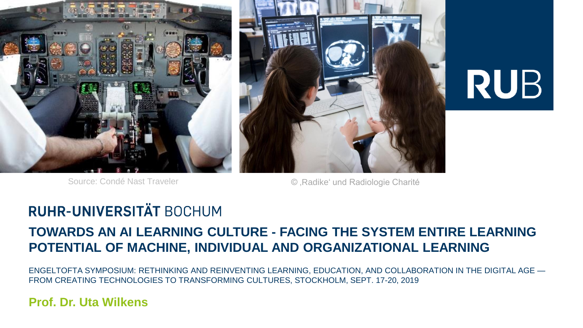



# **RUB**

Source: Condé Nast Traveler **Contract Condé Nast Traveler Condé Nast Traveler Condé August** Condé et au Condé et au Condé et au Condé et au Condé et au Condé et au Condé et au Condé et au Condé et au Condé et au Condé

### **RUHR-UNIVERSITÄT BOCHUM**

### **TOWARDS AN AI LEARNING CULTURE - FACING THE SYSTEM ENTIRE LEARNING POTENTIAL OF MACHINE, INDIVIDUAL AND ORGANIZATIONAL LEARNING**

ENGELTOFTA SYMPOSIUM: RETHINKING AND REINVENTING LEARNING, EDUCATION, AND COLLABORATION IN THE DIGITAL AGE — FROM CREATING TECHNOLOGIES TO TRANSFORMING CULTURES, STOCKHOLM, SEPT. 17-20, 2019

#### **Prof. Dr. Uta Wilkens**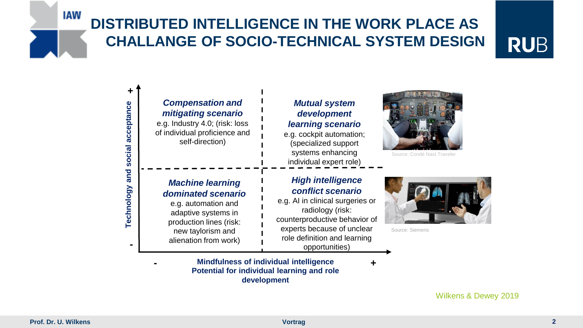# **DISTRIBUTED INTELLIGENCE IN THE WORK PLACE AS CHALLANGE OF SOCIO-TECHNICAL SYSTEM DESIGN**

# **RUB**



Wilkens & Dewey 2019

**IAW**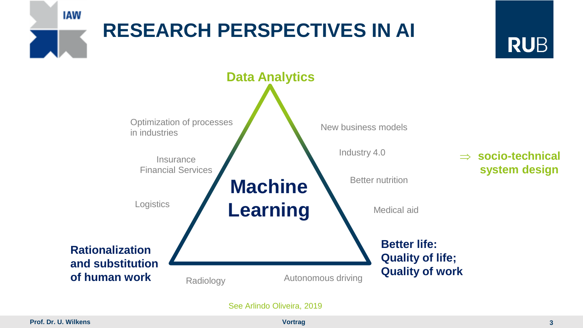

See Arlindo Oliveira, 2019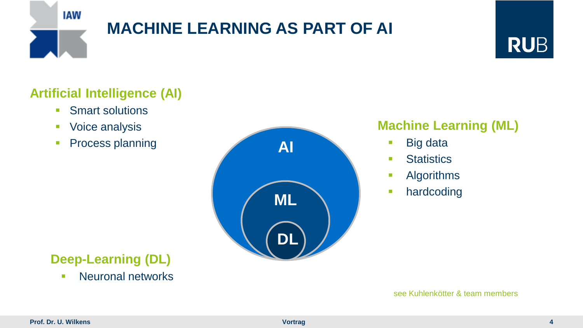

# **MACHINE LEARNING AS PART OF AI**



### **Artificial Intelligence (AI)**

- **Smart solutions**
- **Voice analysis**
- **Process planning**



### **Deep-Learning (DL)**

**Neuronal networks** 

### **Machine Learning (ML)**

- Big data
- **Statistics**
- **Algorithms**
- **hardcoding**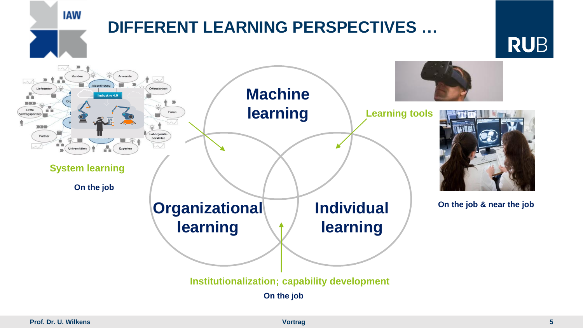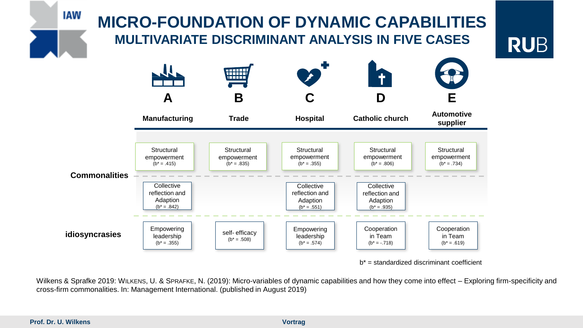

 $b^*$  = standardized discriminant coefficient

Wilkens & Sprafke 2019: WILKENS, U. & SPRAFKE, N. (2019): Micro-variables of dynamic capabilities and how they come into effect – Exploring firm-specificity and cross-firm commonalities. In: Management International. (published in August 2019)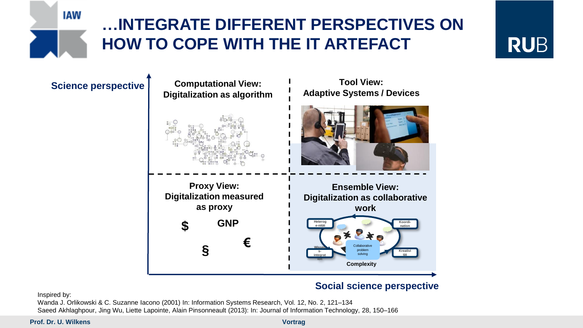

# **…INTEGRATE DIFFERENT PERSPECTIVES ON HOW TO COPE WITH THE IT ARTEFACT**

# **RUB**

### **Science perspective Computational View:**



#### **Social science perspective**

Inspired by:

Wanda J. Orlikowski & C. Suzanne Iacono (2001) In: Information Systems Research, Vol. 12, No. 2, 121–134 Saeed Akhlaghpour, Jing Wu, Liette Lapointe, Alain Pinsonneault (2013): In: Journal of Information Technology, 28, 150–166

**Prof. Dr. U. Wilkens Vortragally 1999 Vortragally 1999 Vortragally 1999**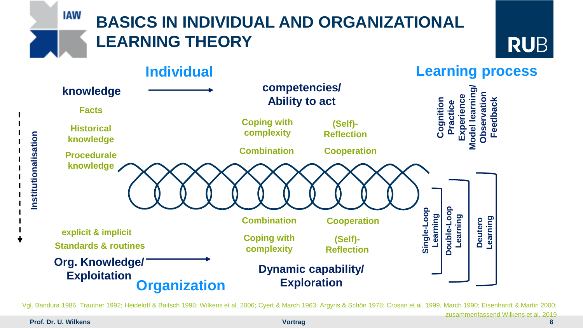**IAW** 

# **BASICS IN INDIVIDUAL AND ORGANIZATIONAL LEARNING THEORY**



**Learning process Individual competencies/ Model learning/ knowledge** đ **Experience Observation Ability to act Cognition Feedback Practice Facts Coping with (Self)- Historical complexity Reflection knowledge Combination Cooperation Procedurale knowledge Double-Loop Single-Loop**  Double-Loop Single-Loop **LearningLearning Deutero Learning Combination Cooperation explicit & implicit Coping with (Self)- Standards & routines complexity Reflection Org. Knowledge/ Dynamic capability/ Exploitation Exploration Organization**

Vgl. Bandura 1986, Trautner 1992; Heideloff & Baitsch 1998; Wilkens et al. 2006; Cyert & March 1963; Argyris & Schön 1978; Crosan et al. 1999, March 1990; Eisenhardt & Martin 2000;

**Prof. Dr. U. Wilkens Vortragally 1999 Vortragally 1999 Vortragally 1999** 

**Institutionalisation**

Institutionalisation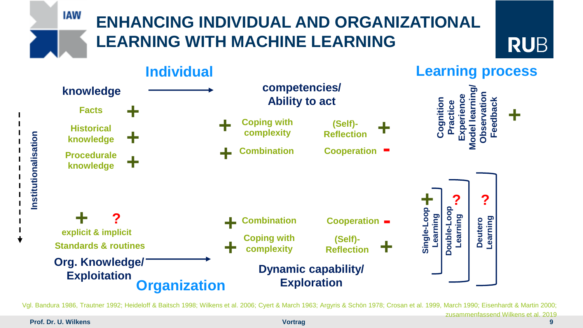### **IAW ENHANCING INDIVIDUAL AND ORGANIZATIONAL LEARNING WITH MACHINE LEARNING RUB Learning process Individual**



Vgl. Bandura 1986, Trautner 1992; Heideloff & Baitsch 1998; Wilkens et al. 2006; Cyert & March 1963; Argyris & Schön 1978; Crosan et al. 1999, March 1990; Eisenhardt & Martin 2000;

**Prof. Dr. U. Wilkens Vortragally 1999 Vortragally 1999 Vortragally 1999**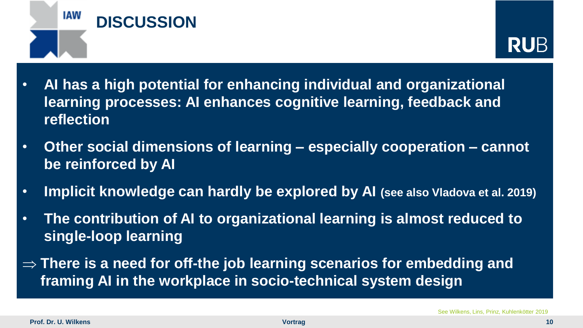



- **Individuum Lernprozess Kompetenz/** ces cognitive **ie Wissen reflection Ko**<br>Erf **Modelllernen/ Be**<br>Bec **Feedback + + +** • **AI has a high potential for enhancing individual and organizational learning processes: AI enhances cognitive learning, feedback and**
- **bewältigung Reflexion Kombination Kooperation Wissen + Prozedurales Wissen + be reinforced by AI + -** • **Other social dimensions of learning – especially cooperation – cannot**
- **o** viado **?** • **Implicit knowledge can hardly be explored by AI (see also Vladova et al. 2019)**
- **explizit & implizit single-loop learning** anizational learning is allhost requee **Double-Loop Single-Loop + + - ?** • **The contribution of AI to organizational learning is almost reduced to**
- **Organisation Kompetenz/ Handlungsfähigkeit framing AI in the workplace in socio-technical system design Wissen bewältigung Reflexion + + There is a need for off-the job learning scenarios for embedding and**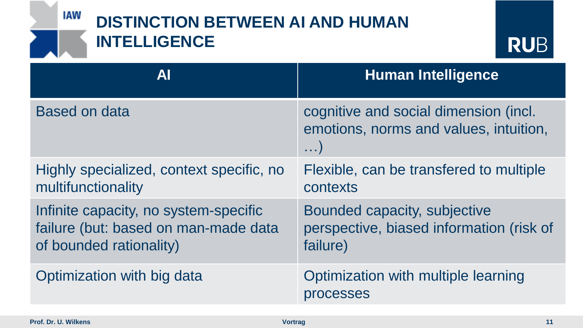### IAW **DISTINCTION BETWEEN AI AND HUMAN INTELLIGENCE RUB AI Human Intelligence** Based on data cognitive and social dimension (incl. emotions, norms and values, intuition, …) Highly specialized, context specific, no Flexible, can be transfered to multiple multifunctionality contexts Infinite capacity, no system-specific Bounded capacity, subjective failure (but: based on man-made data perspective, biased information (risk of of bounded rationality) failure) Optimization with big data Optimization with multiple learning processes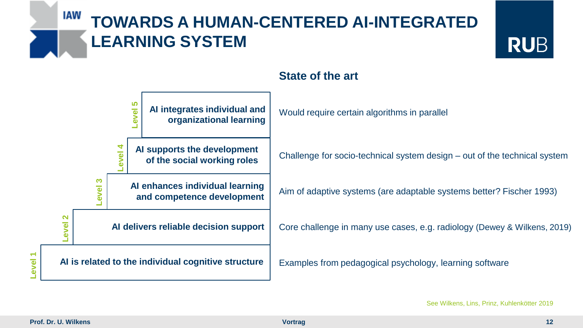### IAW **TOWARDS A HUMAN-CENTERED AI-INTEGRATED LEARNING SYSTEM**





#### **State of the art**

See Wilkens, Lins, Prinz, Kuhlenkötter 2019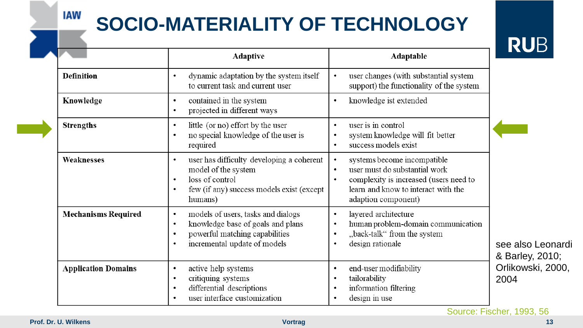# **SOCIO-MATERIALITY OF TECHNOLOGY**

**DI IR** 

|                            | <b>Adaptive</b>                                                                                                                                                                               | Adaptable                                                                                                                                                                                                   | ▮◥❤◡                                 |
|----------------------------|-----------------------------------------------------------------------------------------------------------------------------------------------------------------------------------------------|-------------------------------------------------------------------------------------------------------------------------------------------------------------------------------------------------------------|--------------------------------------|
| Definition                 | dynamic adaptation by the system itself<br>$\bullet$<br>to current task and current user                                                                                                      | user changes (with substantial system<br>$\bullet$<br>support) the functionality of the system                                                                                                              |                                      |
| Knowledge                  | contained in the system<br>$\bullet$<br>projected in different ways<br>$\bullet$                                                                                                              | knowledge ist extended<br>$\bullet$                                                                                                                                                                         |                                      |
| <b>Strengths</b>           | little (or no) effort by the user<br>$\bullet$<br>no special knowledge of the user is<br>$\bullet$<br>required                                                                                | user is in control<br>$\bullet$<br>system knowledge will fit better<br>$\bullet$<br>success models exist<br>$\bullet$                                                                                       |                                      |
| Weaknesses                 | user has difficulty developing a coherent<br>$\bullet$<br>model of the system<br>loss of control<br>$\bullet$<br>few (if any) success models exist (except<br>$\bullet$<br>humans)            | systems become incompatible<br>$\bullet$<br>user must do substantial work<br>$\bullet$<br>complexity is increased (users need to<br>$\bullet$<br>learn and know to interact with the<br>adaption component) |                                      |
| <b>Mechanisms Required</b> | models of users, tasks and dialogs<br>$\bullet$<br>knowledge base of goals and plans<br>$\bullet$<br>powerful matching capabilities<br>$\bullet$<br>incremental update of models<br>$\bullet$ | layered architecture<br>$\bullet$<br>human problem-domain communication<br>$\bullet$<br>"back-talk" from the system<br>$\bullet$<br>design rationale<br>$\bullet$                                           | see also Leonardi<br>& Barley, 2010; |
| <b>Application Domains</b> | active help systems<br>$\bullet$<br>critiquing systems<br>$\bullet$<br>differential descriptions<br>$\bullet$<br>user interface customization<br>$\bullet$                                    | end-user modifiability<br>$\bullet$<br>tailorability<br>$\bullet$<br>information filtering<br>$\bullet$<br>design in use<br>$\bullet$                                                                       | Orlikowski, 2000,<br>2004            |

Source: Fischer, 1993, 56

**IAW**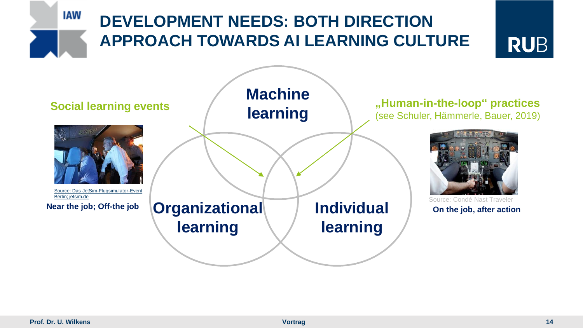